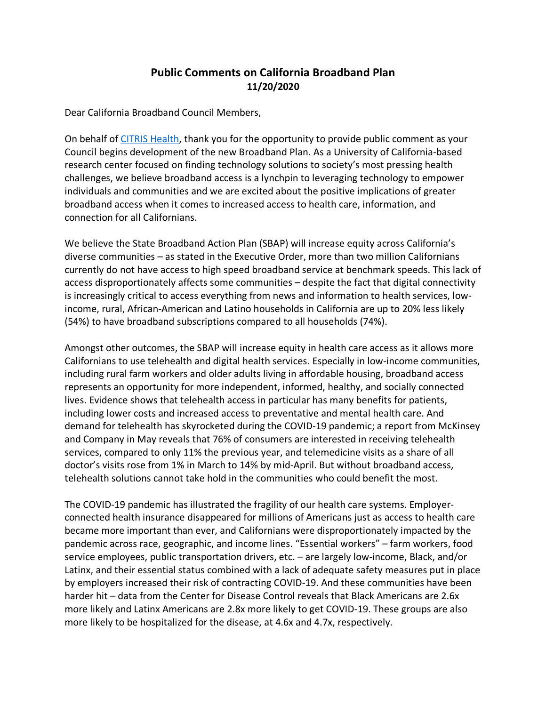## **Public Comments on California Broadband Plan 11/20/2020**

Dear California Broadband Council Members,

On behalf of CITRIS Health, thank you for the opportunity to provide public comment as your Council begins development of the new Broadband Plan. As a University of California-based research center focused on finding technology solutions to society's most pressing health challenges, we believe broadband access is a lynchpin to leveraging technology to empower individuals and communities and we are excited about the positive implications of greater broadband access when it comes to increased access to health care, information, and connection for all Californians.

We believe the State Broadband Action Plan (SBAP) will increase equity across California's diverse communities – as stated in the Executive Order, more than two million Californians currently do not have access to high speed broadband service at benchmark speeds. This lack of access disproportionately affects some communities – despite the fact that digital connectivity is increasingly critical to access everything from news and information to health services, lowincome, rural, African-American and Latino households in California are up to 20% less likely (54%) to have broadband subscriptions compared to all households (74%).

Amongst other outcomes, the SBAP will increase equity in health care access as it allows more Californians to use telehealth and digital health services. Especially in low-income communities, including rural farm workers and older adults living in affordable housing, broadband access represents an opportunity for more independent, informed, healthy, and socially connected lives. Evidence shows that telehealth access in particular has many benefits for patients, including lower costs and increased access to preventative and mental health care. And demand for telehealth has skyrocketed during the COVID-19 pandemic; a report from McKinsey and Company in May reveals that 76% of consumers are interested in receiving telehealth services, compared to only 11% the previous year, and telemedicine visits as a share of all doctor's visits rose from 1% in March to 14% by mid-April. But without broadband access, telehealth solutions cannot take hold in the communities who could benefit the most.

The COVID-19 pandemic has illustrated the fragility of our health care systems. Employerconnected health insurance disappeared for millions of Americans just as access to health care became more important than ever, and Californians were disproportionately impacted by the pandemic across race, geographic, and income lines. "Essential workers" – farm workers, food service employees, public transportation drivers, etc. – are largely low-income, Black, and/or Latinx, and their essential status combined with a lack of adequate safety measures put in place by employers increased their risk of contracting COVID-19. And these communities have been harder hit – data from the Center for Disease Control reveals that Black Americans are 2.6x more likely and Latinx Americans are 2.8x more likely to get COVID-19. These groups are also more likely to be hospitalized for the disease, at 4.6x and 4.7x, respectively.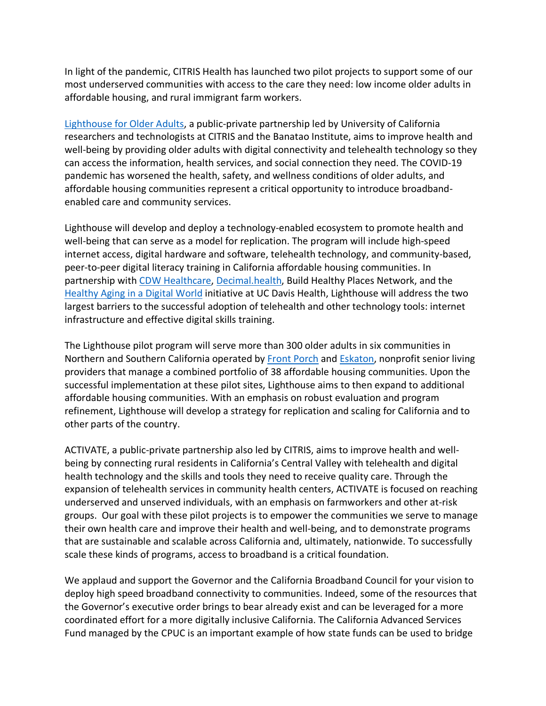In light of the pandemic, CITRIS Health has launched two pilot projects to support some of our most underserved communities with access to the care they need: low income older adults in affordable housing, and rural immigrant farm workers.

Lighthouse for Older Adults, a public-private partnership led by University of California researchers and technologists at CITRIS and the Banatao Institute, aims to improve health and well-being by providing older adults with digital connectivity and telehealth technology so they can access the information, health services, and social connection they need. The COVID-19 pandemic has worsened the health, safety, and wellness conditions of older adults, and affordable housing communities represent a critical opportunity to introduce broadbandenabled care and community services.

Lighthouse will develop and deploy a technology-enabled ecosystem to promote health and well-being that can serve as a model for replication. The program will include high-speed internet access, digital hardware and software, telehealth technology, and community-based, peer-to-peer digital literacy training in California affordable housing communities. In partnership with CDW Healthcare, Decimal.health, Build Healthy Places Network, and the Healthy Aging in a Digital World initiative at UC Davis Health, Lighthouse will address the two largest barriers to the successful adoption of telehealth and other technology tools: internet infrastructure and effective digital skills training.

The Lighthouse pilot program will serve more than 300 older adults in six communities in Northern and Southern California operated by Front Porch and Eskaton, nonprofit senior living providers that manage a combined portfolio of 38 affordable housing communities. Upon the successful implementation at these pilot sites, Lighthouse aims to then expand to additional affordable housing communities. With an emphasis on robust evaluation and program refinement, Lighthouse will develop a strategy for replication and scaling for California and to other parts of the country.

ACTIVATE, a public-private partnership also led by CITRIS, aims to improve health and wellbeing by connecting rural residents in California's Central Valley with telehealth and digital health technology and the skills and tools they need to receive quality care. Through the expansion of telehealth services in community health centers, ACTIVATE is focused on reaching underserved and unserved individuals, with an emphasis on farmworkers and other at-risk groups. Our goal with these pilot projects is to empower the communities we serve to manage their own health care and improve their health and well-being, and to demonstrate programs that are sustainable and scalable across California and, ultimately, nationwide. To successfully scale these kinds of programs, access to broadband is a critical foundation.

We applaud and support the Governor and the California Broadband Council for your vision to deploy high speed broadband connectivity to communities. Indeed, some of the resources that the Governor's executive order brings to bear already exist and can be leveraged for a more coordinated effort for a more digitally inclusive California. The California Advanced Services Fund managed by the CPUC is an important example of how state funds can be used to bridge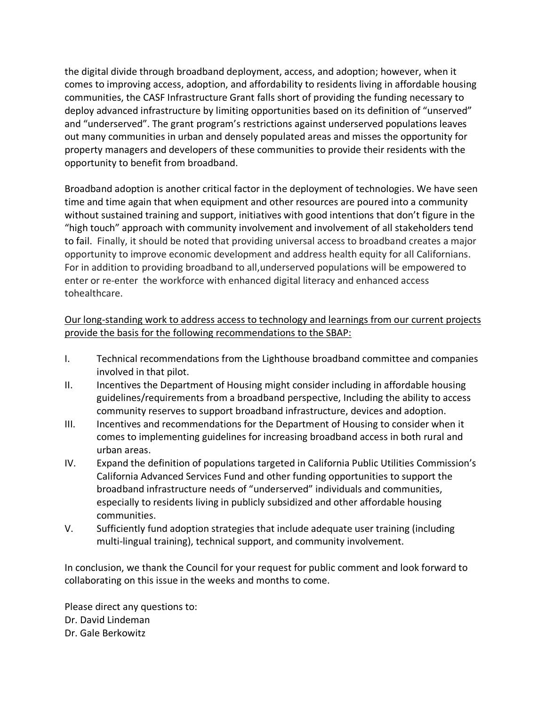the digital divide through broadband deployment, access, and adoption; however, when it comes to improving access, adoption, and affordability to residents living in affordable housing communities, the CASF Infrastructure Grant falls short of providing the funding necessary to deploy advanced infrastructure by limiting opportunities based on its definition of "unserved" and "underserved". The grant program's restrictions against underserved populations leaves out many communities in urban and densely populated areas and misses the opportunity for property managers and developers of these communities to provide their residents with the opportunity to benefit from broadband.

Broadband adoption is another critical factor in the deployment of technologies. We have seen time and time again that when equipment and other resources are poured into a community without sustained training and support, initiatives with good intentions that don't figure in the "high touch" approach with community involvement and involvement of all stakeholders tend to fail. Finally, it should be noted that providing universal access to broadband creates a major opportunity to improve economic development and address health equity for all Californians. For in addition to providing broadband to all,underserved populations will be empowered to enter or re-enter the workforce with enhanced digital literacy and enhanced access tohealthcare.

## Our long-standing work to address access to technology and learnings from our current projects provide the basis for the following recommendations to the SBAP:

- I. Technical recommendations from the Lighthouse broadband committee and companies involved in that pilot.
- II. Incentives the Department of Housing might consider including in affordable housing guidelines/requirements from a broadband perspective, Including the ability to access community reserves to support broadband infrastructure, devices and adoption.
- III. Incentives and recommendations for the Department of Housing to consider when it comes to implementing guidelines for increasing broadband access in both rural and urban areas.
- IV. Expand the definition of populations targeted in California Public Utilities Commission's California Advanced Services Fund and other funding opportunities to support the broadband infrastructure needs of "underserved" individuals and communities, especially to residents living in publicly subsidized and other affordable housing communities.
- V. Sufficiently fund adoption strategies that include adequate user training (including multi-lingual training), technical support, and community involvement.

In conclusion, we thank the Council for your request for public comment and look forward to collaborating on this issue in the weeks and months to come.

Please direct any questions to: Dr. David Lindeman Dr. Gale Berkowitz